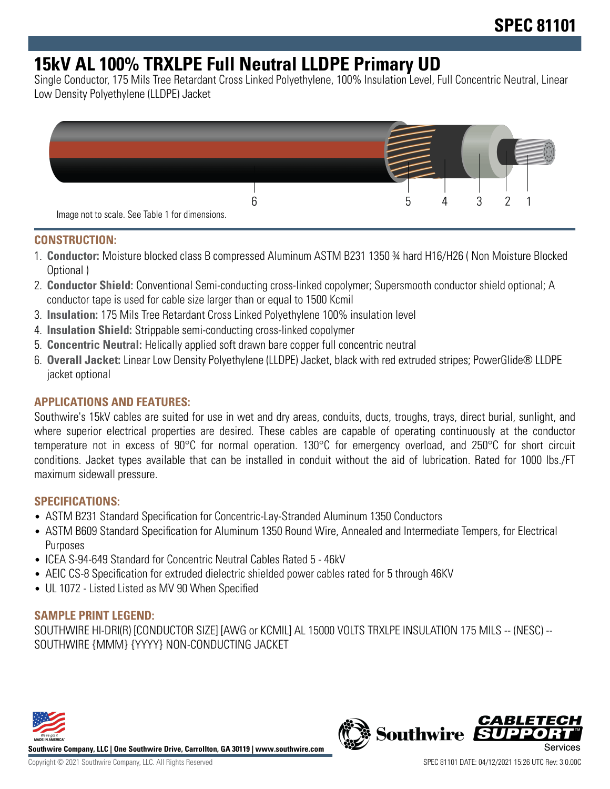## **15kV AL 100% TRXLPE Full Neutral LLDPE Primary UD**

Single Conductor, 175 Mils Tree Retardant Cross Linked Polyethylene, 100% Insulation Level, Full Concentric Neutral, Linear Low Density Polyethylene (LLDPE) Jacket



#### **CONSTRUCTION:**

- 1. **Conductor:** Moisture blocked class B compressed Aluminum ASTM B231 1350 ¾ hard H16/H26 ( Non Moisture Blocked Optional )
- 2. **Conductor Shield:** Conventional Semi-conducting cross-linked copolymer; Supersmooth conductor shield optional; A conductor tape is used for cable size larger than or equal to 1500 Kcmil
- 3. **Insulation:** 175 Mils Tree Retardant Cross Linked Polyethylene 100% insulation level
- 4. **Insulation Shield:** Strippable semi-conducting cross-linked copolymer
- 5. **Concentric Neutral:** Helically applied soft drawn bare copper full concentric neutral
- 6. **Overall Jacket:** Linear Low Density Polyethylene (LLDPE) Jacket, black with red extruded stripes; PowerGlide® LLDPE jacket optional

## **APPLICATIONS AND FEATURES:**

Southwire's 15kV cables are suited for use in wet and dry areas, conduits, ducts, troughs, trays, direct burial, sunlight, and where superior electrical properties are desired. These cables are capable of operating continuously at the conductor temperature not in excess of 90°C for normal operation. 130°C for emergency overload, and 250°C for short circuit conditions. Jacket types available that can be installed in conduit without the aid of lubrication. Rated for 1000 lbs./FT maximum sidewall pressure.

#### **SPECIFICATIONS:**

- ASTM B231 Standard Specification for Concentric-Lay-Stranded Aluminum 1350 Conductors
- ASTM B609 Standard Specification for Aluminum 1350 Round Wire, Annealed and Intermediate Tempers, for Electrical Purposes
- ICEA S-94-649 Standard for Concentric Neutral Cables Rated 5 46kV
- AEIC CS-8 Specification for extruded dielectric shielded power cables rated for 5 through 46KV
- UL 1072 Listed Listed as MV 90 When Specified

## **SAMPLE PRINT LEGEND:**

SOUTHWIRE HI-DRI(R) [CONDUCTOR SIZE] [AWG or KCMIL] AL 15000 VOLTS TRXLPE INSULATION 175 MILS -- (NESC) -- SOUTHWIRE {MMM} {YYYY} NON-CONDUCTING JACKET



**Southwire Company, LLC | One Southwire Drive, Carrollton, GA 30119 | www.southwire.com**

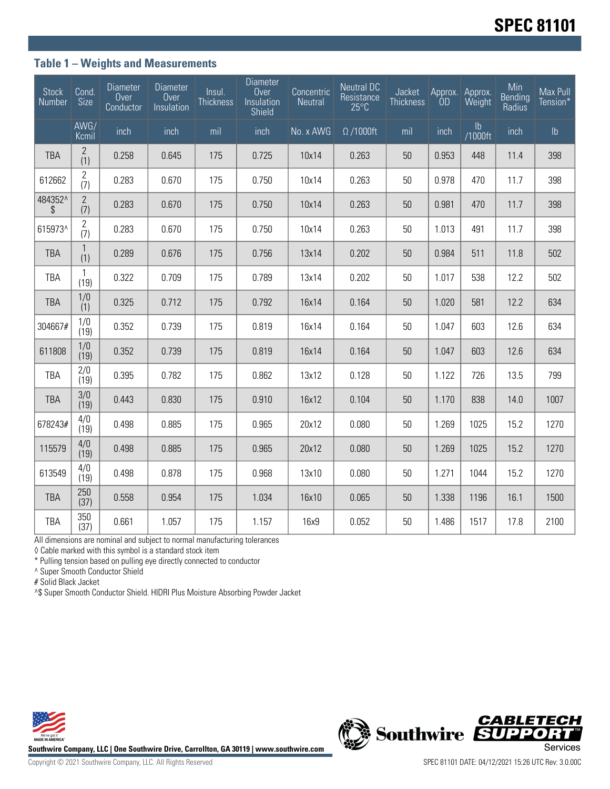### **Table 1 – Weights and Measurements**

| Stock<br>Number | Cond.<br>Size         | <b>Diameter</b><br>Over<br>Conductor | <b>Diameter</b><br>Over<br>Insulation | Insul.<br><b>Thickness</b> | <b>Diameter</b><br>Over<br>Insulation<br>Shield | Concentric<br>Neutral | <b>Neutral DC</b><br>Resistance<br>$25^{\circ}$ C | Jacket<br><b>Thickness</b> | Approx.<br>ÒD | Approx.<br>Weight        | Min<br><b>Bending</b><br>Radius | Max Pull<br>Tension* |
|-----------------|-----------------------|--------------------------------------|---------------------------------------|----------------------------|-------------------------------------------------|-----------------------|---------------------------------------------------|----------------------------|---------------|--------------------------|---------------------------------|----------------------|
|                 | AWG/<br>Kcmil         | inch                                 | inch                                  | mil                        | inch                                            | No. x AWG             | $\Omega$ /1000ft                                  | mil                        | inch          | $\mathsf{lb}$<br>/1000ft | inch                            | $\mathsf{lb}$        |
| <b>TBA</b>      | $\overline{2}$<br>(1) | 0.258                                | 0.645                                 | 175                        | 0.725                                           | 10x14                 | 0.263                                             | 50                         | 0.953         | 448                      | 11.4                            | 398                  |
| 612662          | 2<br>(7)              | 0.283                                | 0.670                                 | 175                        | 0.750                                           | 10x14                 | 0.263                                             | 50                         | 0.978         | 470                      | 11.7                            | 398                  |
| 484352^<br>\$   | $\overline{2}$<br>(7) | 0.283                                | 0.670                                 | 175                        | 0.750                                           | 10x14                 | 0.263                                             | 50                         | 0.981         | 470                      | 11.7                            | 398                  |
| 615973^         | $\overline{2}$<br>(7) | 0.283                                | 0.670                                 | 175                        | 0.750                                           | 10x14                 | 0.263                                             | 50                         | 1.013         | 491                      | 11.7                            | 398                  |
| <b>TBA</b>      | $\mathbf{1}$<br>(1)   | 0.289                                | 0.676                                 | 175                        | 0.756                                           | 13x14                 | 0.202                                             | 50                         | 0.984         | 511                      | 11.8                            | 502                  |
| <b>TBA</b>      | 1<br>(19)             | 0.322                                | 0.709                                 | 175                        | 0.789                                           | 13x14                 | 0.202                                             | 50                         | 1.017         | 538                      | 12.2                            | 502                  |
| <b>TBA</b>      | 1/0<br>(1)            | 0.325                                | 0.712                                 | 175                        | 0.792                                           | 16x14                 | 0.164                                             | 50                         | 1.020         | 581                      | 12.2                            | 634                  |
| 304667#         | 1/0<br>(19)           | 0.352                                | 0.739                                 | 175                        | 0.819                                           | 16x14                 | 0.164                                             | 50                         | 1.047         | 603                      | 12.6                            | 634                  |
| 611808          | 1/0<br>(19)           | 0.352                                | 0.739                                 | 175                        | 0.819                                           | 16x14                 | 0.164                                             | 50                         | 1.047         | 603                      | 12.6                            | 634                  |
| <b>TBA</b>      | 2/0<br>(19)           | 0.395                                | 0.782                                 | 175                        | 0.862                                           | 13x12                 | 0.128                                             | 50                         | 1.122         | 726                      | 13.5                            | 799                  |
| <b>TBA</b>      | 3/0<br>(19)           | 0.443                                | 0.830                                 | 175                        | 0.910                                           | 16x12                 | 0.104                                             | 50                         | 1.170         | 838                      | 14.0                            | 1007                 |
| 678243#         | 4/0<br>(19)           | 0.498                                | 0.885                                 | 175                        | 0.965                                           | 20x12                 | 0.080                                             | 50                         | 1.269         | 1025                     | 15.2                            | 1270                 |
| 115579          | 4/0<br>(19)           | 0.498                                | 0.885                                 | 175                        | 0.965                                           | 20x12                 | 0.080                                             | 50                         | 1.269         | 1025                     | 15.2                            | 1270                 |
| 613549          | 4/0<br>(19)           | 0.498                                | 0.878                                 | 175                        | 0.968                                           | 13x10                 | 0.080                                             | 50                         | 1.271         | 1044                     | 15.2                            | 1270                 |
| <b>TBA</b>      | 250<br>(37)           | 0.558                                | 0.954                                 | 175                        | 1.034                                           | 16x10                 | 0.065                                             | 50                         | 1.338         | 1196                     | 16.1                            | 1500                 |
| <b>TBA</b>      | 350<br>(37)           | 0.661                                | 1.057                                 | 175                        | 1.157                                           | 16x9                  | 0.052                                             | 50                         | 1.486         | 1517                     | 17.8                            | 2100                 |

All dimensions are nominal and subject to normal manufacturing tolerances

◊ Cable marked with this symbol is a standard stock item

\* Pulling tension based on pulling eye directly connected to conductor

^ Super Smooth Conductor Shield

# Solid Black Jacket

^\$ Super Smooth Conductor Shield. HIDRI Plus Moisture Absorbing Powder Jacket



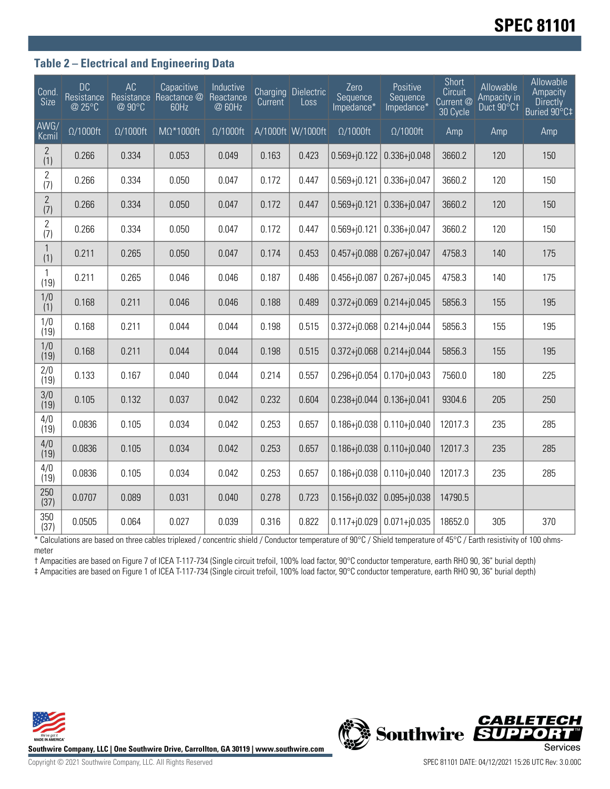# **SPEC 81101**

### **Table 2 – Electrical and Engineering Data**

| Cond<br>Size          | <b>DC</b><br>Resistance<br>@ 25°C | AC<br>@ 90°C     | Capacitive<br>Resistance Reactance @<br>60Hz | Inductive<br>Reactance<br>@ 60Hz | <b>Current</b> | Charging Dielectric<br>Loss | Zero<br>Sequence<br>Impedance* | Positive<br>Sequence<br>Impedance* | Short<br>Circuit<br>Current <sup>@</sup><br>30 Cycle | Allowable<br>Ampacity in<br>Duct 90°C1 | Allowable<br>Ampacity<br><b>Directly</b><br>Buried 90°C‡ |
|-----------------------|-----------------------------------|------------------|----------------------------------------------|----------------------------------|----------------|-----------------------------|--------------------------------|------------------------------------|------------------------------------------------------|----------------------------------------|----------------------------------------------------------|
| AWG/<br>Kcmil         | $\Omega/1000$ ft                  | $\Omega/1000$ ft | $M\Omega^*1000$ ft                           | $\Omega/1000$ ft                 |                | A/1000ft W/1000ft           | $\Omega/1000$ ft               | $\Omega/1000$ ft                   | Amp                                                  | Amp                                    | Amp                                                      |
| $\overline{2}$<br>(1) | 0.266                             | 0.334            | 0.053                                        | 0.049                            | 0.163          | 0.423                       | $0.569 + j0.122$               | $0.336 + j0.048$                   | 3660.2                                               | 120                                    | 150                                                      |
| $\overline{2}$<br>(7) | 0.266                             | 0.334            | 0.050                                        | 0.047                            | 0.172          | 0.447                       | $0.569 + j0.121$               | $0.336 + j0.047$                   | 3660.2                                               | 120                                    | 150                                                      |
| $\mathbf{2}$<br>(7)   | 0.266                             | 0.334            | 0.050                                        | 0.047                            | 0.172          | 0.447                       | $0.569 + j0.121$               | $0.336 + j0.047$                   | 3660.2                                               | 120                                    | 150                                                      |
| $\overline{2}$<br>(7) | 0.266                             | 0.334            | 0.050                                        | 0.047                            | 0.172          | 0.447                       | $0.569 + j0.121$               | $0.336 + j0.047$                   | 3660.2                                               | 120                                    | 150                                                      |
| $\mathbf{1}$<br>(1)   | 0.211                             | 0.265            | 0.050                                        | 0.047                            | 0.174          | 0.453                       | $0.457 + j0.088$               | $0.267 + j0.047$                   | 4758.3                                               | 140                                    | 175                                                      |
| $\mathbf{1}$<br>(19)  | 0.211                             | 0.265            | 0.046                                        | 0.046                            | 0.187          | 0.486                       | $0.456 + j0.087$               | $0.267 + j0.045$                   | 4758.3                                               | 140                                    | 175                                                      |
| 1/0<br>(1)            | 0.168                             | 0.211            | 0.046                                        | 0.046                            | 0.188          | 0.489                       | $0.372 + j0.069$               | $0.214 + j0.045$                   | 5856.3                                               | 155                                    | 195                                                      |
| 1/0<br>(19)           | 0.168                             | 0.211            | 0.044                                        | 0.044                            | 0.198          | 0.515                       | $0.372 + j0.068$               | $0.214 + j0.044$                   | 5856.3                                               | 155                                    | 195                                                      |
| 1/0<br>(19)           | 0.168                             | 0.211            | 0.044                                        | 0.044                            | 0.198          | 0.515                       | $0.372 + j0.068$               | $0.214 + i0.044$                   | 5856.3                                               | 155                                    | 195                                                      |
| 2/0<br>(19)           | 0.133                             | 0.167            | 0.040                                        | 0.044                            | 0.214          | 0.557                       | $0.296 + j0.054$               | $0.170 + j0.043$                   | 7560.0                                               | 180                                    | 225                                                      |
| 3/0<br>(19)           | 0.105                             | 0.132            | 0.037                                        | 0.042                            | 0.232          | 0.604                       | $0.238 + j0.044$               | $0.136 + j0.041$                   | 9304.6                                               | 205                                    | 250                                                      |
| 4/0<br>(19)           | 0.0836                            | 0.105            | 0.034                                        | 0.042                            | 0.253          | 0.657                       | $0.186 + j0.038$               | $0.110 + j0.040$                   | 12017.3                                              | 235                                    | 285                                                      |
| 4/0<br>(19)           | 0.0836                            | 0.105            | 0.034                                        | 0.042                            | 0.253          | 0.657                       | $0.186 + j0.038$               | $0.110 + j0.040$                   | 12017.3                                              | 235                                    | 285                                                      |
| 4/0<br>(19)           | 0.0836                            | 0.105            | 0.034                                        | 0.042                            | 0.253          | 0.657                       | $0.186 + j0.038$               | $0.110 + j0.040$                   | 12017.3                                              | 235                                    | 285                                                      |
| 250<br>(37)           | 0.0707                            | 0.089            | 0.031                                        | 0.040                            | 0.278          | 0.723                       | $0.156 + j0.032$               | $0.095 + j0.038$                   | 14790.5                                              |                                        |                                                          |
| 350<br>(37)           | 0.0505                            | 0.064            | 0.027                                        | 0.039                            | 0.316          | 0.822                       | $0.117 + 0.029$                | $0.071 + j0.035$                   | 18652.0                                              | 305                                    | 370                                                      |

\* Calculations are based on three cables triplexed / concentric shield / Conductor temperature of 90°C / Shield temperature of 45°C / Earth resistivity of 100 ohmsmeter

† Ampacities are based on Figure 7 of ICEA T-117-734 (Single circuit trefoil, 100% load factor, 90°C conductor temperature, earth RHO 90, 36" burial depth) ‡ Ampacities are based on Figure 1 of ICEA T-117-734 (Single circuit trefoil, 100% load factor, 90°C conductor temperature, earth RHO 90, 36" burial depth)



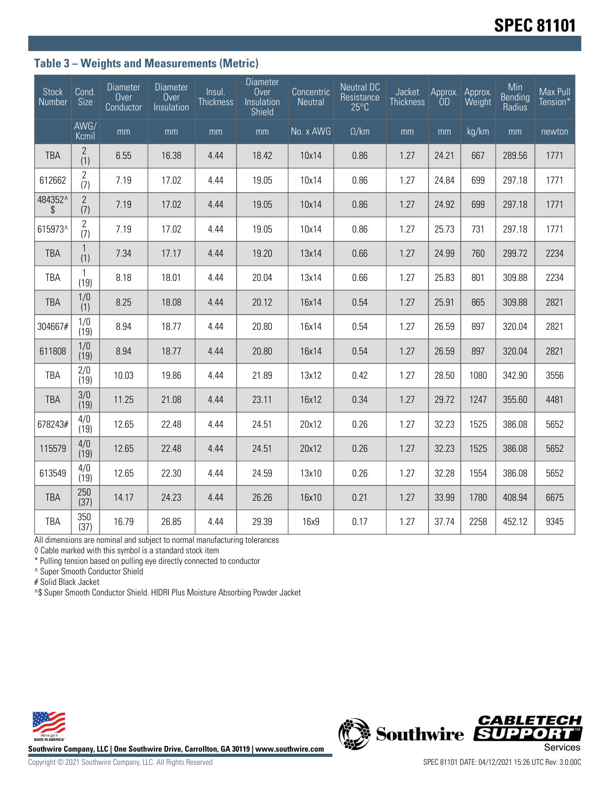### **Table 3 – Weights and Measurements (Metric)**

| <b>Stock</b><br>Number                | Cond.<br><b>Size</b>  | Diameter<br>Over<br>Conductor | Diameter<br>Over<br>Insulation | Insul.<br>Thickness | Diameter<br>Over<br>Insulation<br><b>Shield</b> | Concentric<br>Neutral | <b>Neutral DC</b><br>Resistance<br>$25^{\circ}$ C | Jacket<br>Thickness | Approx.<br><b>OD</b> | Approx.<br>Weight | Min<br><b>Bending</b><br>Radius | Max Pull<br>Tension* |
|---------------------------------------|-----------------------|-------------------------------|--------------------------------|---------------------|-------------------------------------------------|-----------------------|---------------------------------------------------|---------------------|----------------------|-------------------|---------------------------------|----------------------|
|                                       | AWG/<br>Kcmil         | mm                            | mm                             | mm                  | mm                                              | No. x AWG             | $\Omega$ /km                                      | mm                  | mm                   | kg/km             | mm                              | newton               |
| <b>TBA</b>                            | $\mathbf{2}$<br>(1)   | 6.55                          | 16.38                          | 4.44                | 18.42                                           | 10x14                 | 0.86                                              | 1.27                | 24.21                | 667               | 289.56                          | 1771                 |
| 612662                                | 2<br>(7)              | 7.19                          | 17.02                          | 4.44                | 19.05                                           | 10x14                 | 0.86                                              | 1.27                | 24.84                | 699               | 297.18                          | 1771                 |
| 484352^<br>$\boldsymbol{\mathcal{S}}$ | $\mathbf{2}$<br>(7)   | 7.19                          | 17.02                          | 4.44                | 19.05                                           | 10x14                 | 0.86                                              | 1.27                | 24.92                | 699               | 297.18                          | 1771                 |
| 615973^                               | $\overline{2}$<br>(7) | 7.19                          | 17.02                          | 4.44                | 19.05                                           | 10x14                 | 0.86                                              | 1.27                | 25.73                | 731               | 297.18                          | 1771                 |
| <b>TBA</b>                            | $\mathbf{1}$<br>(1)   | 7.34                          | 17.17                          | 4.44                | 19.20                                           | 13x14                 | 0.66                                              | 1.27                | 24.99                | 760               | 299.72                          | 2234                 |
| TBA                                   | $\mathbf{1}$<br>(19)  | 8.18                          | 18.01                          | 4.44                | 20.04                                           | 13x14                 | 0.66                                              | 1.27                | 25.83                | 801               | 309.88                          | 2234                 |
| <b>TBA</b>                            | 1/0<br>(1)            | 8.25                          | 18.08                          | 4.44                | 20.12                                           | 16x14                 | 0.54                                              | 1.27                | 25.91                | 865               | 309.88                          | 2821                 |
| 304667#                               | 1/0<br>(19)           | 8.94                          | 18.77                          | 4.44                | 20.80                                           | 16x14                 | 0.54                                              | 1.27                | 26.59                | 897               | 320.04                          | 2821                 |
| 611808                                | 1/0<br>(19)           | 8.94                          | 18.77                          | 4.44                | 20.80                                           | 16x14                 | 0.54                                              | 1.27                | 26.59                | 897               | 320.04                          | 2821                 |
| <b>TBA</b>                            | 2/0<br>(19)           | 10.03                         | 19.86                          | 4.44                | 21.89                                           | 13x12                 | 0.42                                              | 1.27                | 28.50                | 1080              | 342.90                          | 3556                 |
| <b>TBA</b>                            | 3/0<br>(19)           | 11.25                         | 21.08                          | 4.44                | 23.11                                           | 16x12                 | 0.34                                              | 1.27                | 29.72                | 1247              | 355.60                          | 4481                 |
| 678243#                               | 4/0<br>(19)           | 12.65                         | 22.48                          | 4.44                | 24.51                                           | 20x12                 | 0.26                                              | 1.27                | 32.23                | 1525              | 386.08                          | 5652                 |
| 115579                                | 4/0<br>(19)           | 12.65                         | 22.48                          | 4.44                | 24.51                                           | 20x12                 | 0.26                                              | 1.27                | 32.23                | 1525              | 386.08                          | 5652                 |
| 613549                                | 4/0<br>(19)           | 12.65                         | 22.30                          | 4.44                | 24.59                                           | 13x10                 | 0.26                                              | 1.27                | 32.28                | 1554              | 386.08                          | 5652                 |
| <b>TBA</b>                            | 250<br>(37)           | 14.17                         | 24.23                          | 4.44                | 26.26                                           | 16x10                 | 0.21                                              | 1.27                | 33.99                | 1780              | 408.94                          | 6675                 |
| TBA                                   | 350<br>(37)           | 16.79                         | 26.85                          | 4.44                | 29.39                                           | 16x9                  | 0.17                                              | 1.27                | 37.74                | 2258              | 452.12                          | 9345                 |

All dimensions are nominal and subject to normal manufacturing tolerances

◊ Cable marked with this symbol is a standard stock item

\* Pulling tension based on pulling eye directly connected to conductor

^ Super Smooth Conductor Shield

# Solid Black Jacket

^\$ Super Smooth Conductor Shield. HIDRI Plus Moisture Absorbing Powder Jacket





Copyright © 2021 Southwire Company, LLC. All Rights Reserved SPEC 81101 DATE: 04/12/2021 15:26 UTC Rev: 3.0.00C